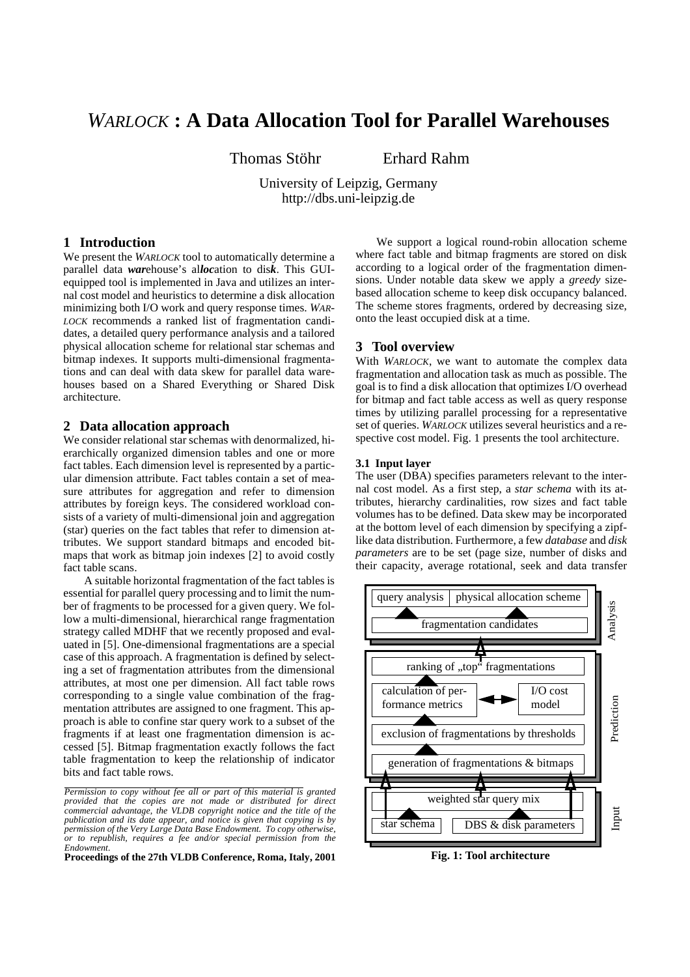# *WARLOCK* **: A Data Allocation Tool for Parallel Warehouses**

Thomas Stöhr Erhard Rahm

University of Leipzig, Germany http://dbs.uni-leipzig.de

## **1 Introduction**

We present the *WARLOCK* tool to automatically determine a parallel data *war*ehouse's al*loc*ation to dis*k*. This GUIequipped tool is implemented in Java and utilizes an internal cost model and heuristics to determine a disk allocation minimizing both I/O work and query response times. *WAR-LOCK* recommends a ranked list of fragmentation candidates, a detailed query performance analysis and a tailored physical allocation scheme for relational star schemas and bitmap indexes. It supports multi-dimensional fragmentations and can deal with data skew for parallel data warehouses based on a Shared Everything or Shared Disk architecture.

#### **2 Data allocation approach**

We consider relational star schemas with denormalized, hierarchically organized dimension tables and one or more fact tables. Each dimension level is represented by a particular dimension attribute. Fact tables contain a set of measure attributes for aggregation and refer to dimension attributes by foreign keys. The considered workload consists of a variety of multi-dimensional join and aggregation (star) queries on the fact tables that refer to dimension attributes. We support standard bitmaps and encoded bitmaps that work as bitmap join indexes [2] to avoid costly fact table scans.

A suitable horizontal fragmentation of the fact tables is essential for parallel query processing and to limit the number of fragments to be processed for a given query. We follow a multi-dimensional, hierarchical range fragmentation strategy called MDHF that we recently proposed and evaluated in [5]. One-dimensional fragmentations are a special case of this approach. A fragmentation is defined by selecting a set of fragmentation attributes from the dimensional attributes, at most one per dimension. All fact table rows corresponding to a single value combination of the fragmentation attributes are assigned to one fragment. This approach is able to confine star query work to a subset of the fragments if at least one fragmentation dimension is accessed [5]. Bitmap fragmentation exactly follows the fact table fragmentation to keep the relationship of indicator bits and fact table rows.

**Proceedings of the 27th VLDB Conference, Roma, Italy, 2001**

We support a logical round-robin allocation scheme where fact table and bitmap fragments are stored on disk according to a logical order of the fragmentation dimensions. Under notable data skew we apply a *greedy* sizebased allocation scheme to keep disk occupancy balanced. The scheme stores fragments, ordered by decreasing size, onto the least occupied disk at a time.

## **3 Tool overview**

With *WARLOCK*, we want to automate the complex data fragmentation and allocation task as much as possible. The goal is to find a disk allocation that optimizes I/O overhead for bitmap and fact table access as well as query response times by utilizing parallel processing for a representative set of queries. *WARLOCK* utilizes several heuristics and a respective cost model. Fig. 1 presents the tool architecture.

## **3.1 Input layer**

The user (DBA) specifies parameters relevant to the internal cost model. As a first step, a *star schema* with its attributes, hierarchy cardinalities, row sizes and fact table volumes has to be defined. Data skew may be incorporated at the bottom level of each dimension by specifying a zipflike data distribution. Furthermore, a few *database* and *disk parameters* are to be set (page size, number of disks and their capacity, average rotational, seek and data transfer



**Fig. 1: Tool architecture**

*Permission to copy without fee all or part of this material is granted provided that the copies are not made or distributed for direct commercial advantage, the VLDB copyright notice and the title of the publication and its date appear, and notice is given that copying is by permission of the Very Large Data Base Endowment. To copy otherwise, or to republish, requires a fee and/or special permission from the Endowment.*